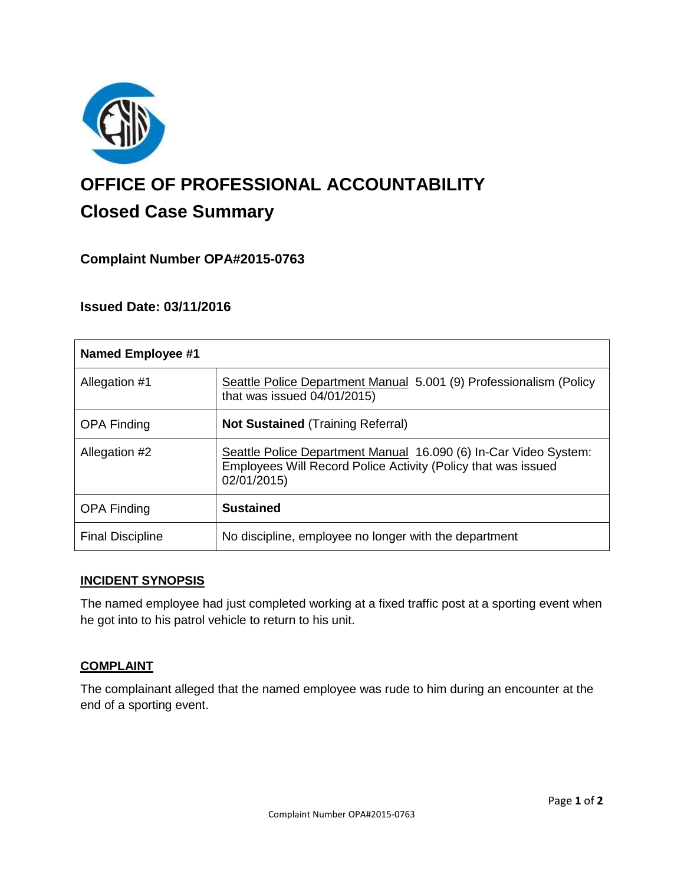

# **OFFICE OF PROFESSIONAL ACCOUNTABILITY Closed Case Summary**

# **Complaint Number OPA#2015-0763**

# **Issued Date: 03/11/2016**

| <b>Named Employee #1</b> |                                                                                                                                                  |
|--------------------------|--------------------------------------------------------------------------------------------------------------------------------------------------|
| Allegation #1            | Seattle Police Department Manual 5.001 (9) Professionalism (Policy<br>that was issued $04/01/2015$ )                                             |
| <b>OPA Finding</b>       | <b>Not Sustained (Training Referral)</b>                                                                                                         |
| Allegation #2            | Seattle Police Department Manual 16.090 (6) In-Car Video System:<br>Employees Will Record Police Activity (Policy that was issued<br>02/01/2015) |
| <b>OPA Finding</b>       | <b>Sustained</b>                                                                                                                                 |
| <b>Final Discipline</b>  | No discipline, employee no longer with the department                                                                                            |

## **INCIDENT SYNOPSIS**

The named employee had just completed working at a fixed traffic post at a sporting event when he got into to his patrol vehicle to return to his unit.

## **COMPLAINT**

The complainant alleged that the named employee was rude to him during an encounter at the end of a sporting event.